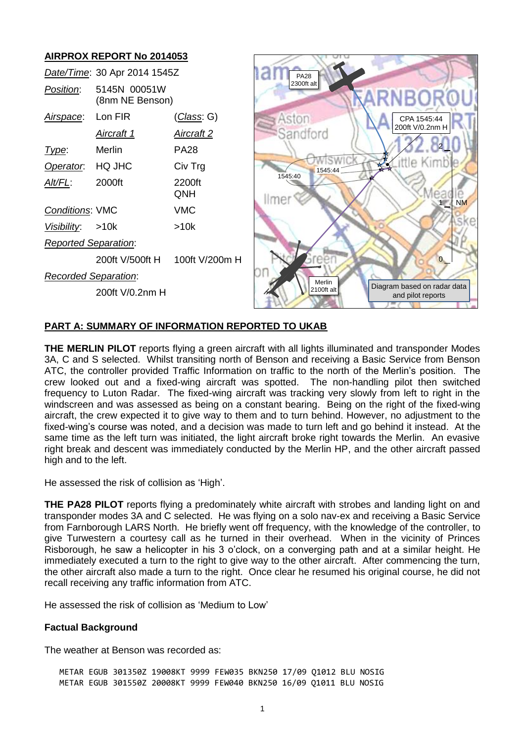

## **PART A: SUMMARY OF INFORMATION REPORTED TO UKAB**

**THE MERLIN PILOT** reports flying a green aircraft with all lights illuminated and transponder Modes 3A, C and S selected. Whilst transiting north of Benson and receiving a Basic Service from Benson ATC, the controller provided Traffic Information on traffic to the north of the Merlin's position. The crew looked out and a fixed-wing aircraft was spotted. The non-handling pilot then switched frequency to Luton Radar. The fixed-wing aircraft was tracking very slowly from left to right in the windscreen and was assessed as being on a constant bearing. Being on the right of the fixed-wing aircraft, the crew expected it to give way to them and to turn behind. However, no adjustment to the fixed-wing's course was noted, and a decision was made to turn left and go behind it instead. At the same time as the left turn was initiated, the light aircraft broke right towards the Merlin. An evasive right break and descent was immediately conducted by the Merlin HP, and the other aircraft passed high and to the left.

He assessed the risk of collision as 'High'.

**THE PA28 PILOT** reports flying a predominately white aircraft with strobes and landing light on and transponder modes 3A and C selected. He was flying on a solo nav-ex and receiving a Basic Service from Farnborough LARS North. He briefly went off frequency, with the knowledge of the controller, to give Turwestern a courtesy call as he turned in their overhead. When in the vicinity of Princes Risborough, he saw a helicopter in his 3 o'clock, on a converging path and at a similar height. He immediately executed a turn to the right to give way to the other aircraft. After commencing the turn, the other aircraft also made a turn to the right. Once clear he resumed his original course, he did not recall receiving any traffic information from ATC.

He assessed the risk of collision as 'Medium to Low'

# **Factual Background**

The weather at Benson was recorded as:

METAR EGUB 301350Z 19008KT 9999 FEW035 BKN250 17/09 Q1012 BLU NOSIG METAR EGUB 301550Z 20008KT 9999 FEW040 BKN250 16/09 Q1011 BLU NOSIG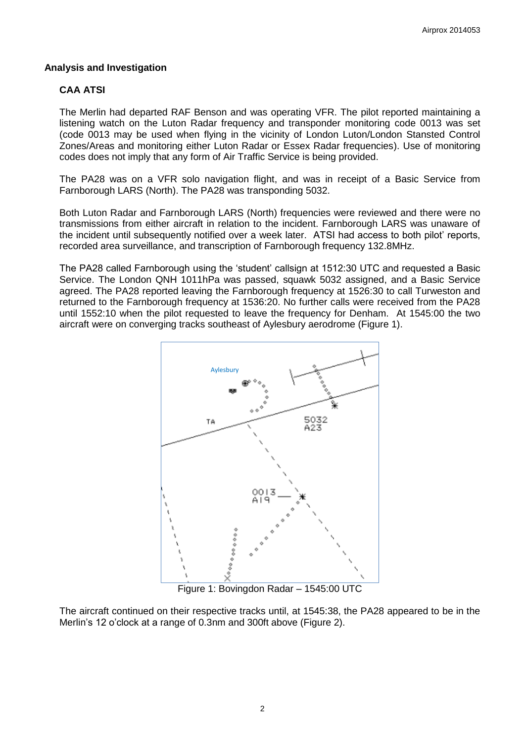#### **Analysis and Investigation**

# **CAA ATSI**

The Merlin had departed RAF Benson and was operating VFR. The pilot reported maintaining a listening watch on the Luton Radar frequency and transponder monitoring code 0013 was set (code 0013 may be used when flying in the vicinity of London Luton/London Stansted Control Zones/Areas and monitoring either Luton Radar or Essex Radar frequencies). Use of monitoring codes does not imply that any form of Air Traffic Service is being provided.

The PA28 was on a VFR solo navigation flight, and was in receipt of a Basic Service from Farnborough LARS (North). The PA28 was transponding 5032.

Both Luton Radar and Farnborough LARS (North) frequencies were reviewed and there were no transmissions from either aircraft in relation to the incident. Farnborough LARS was unaware of the incident until subsequently notified over a week later. ATSI had access to both pilot' reports, recorded area surveillance, and transcription of Farnborough frequency 132.8MHz.

The PA28 called Farnborough using the 'student' callsign at 1512:30 UTC and requested a Basic Service. The London QNH 1011hPa was passed, squawk 5032 assigned, and a Basic Service agreed. The PA28 reported leaving the Farnborough frequency at 1526:30 to call Turweston and returned to the Farnborough frequency at 1536:20. No further calls were received from the PA28 until 1552:10 when the pilot requested to leave the frequency for Denham. At 1545:00 the two aircraft were on converging tracks southeast of Aylesbury aerodrome (Figure 1).



Figure 1: Bovingdon Radar – 1545:00 UTC

The aircraft continued on their respective tracks until, at 1545:38, the PA28 appeared to be in the Merlin's 12 o'clock at a range of 0.3nm and 300ft above (Figure 2).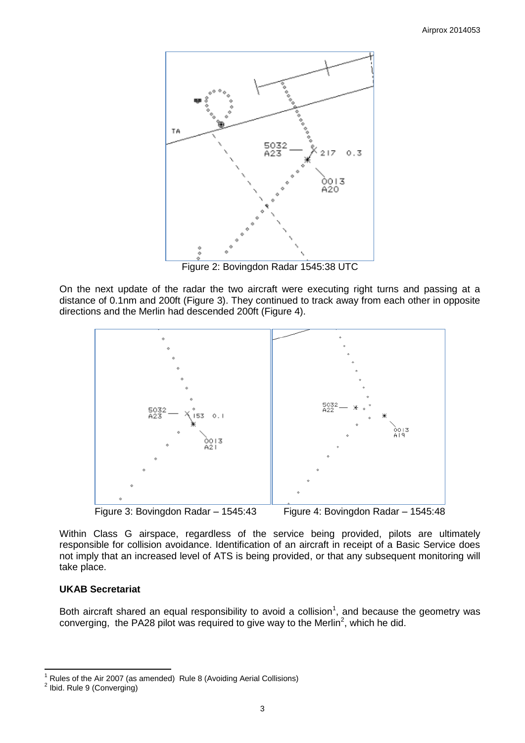

Figure 2: Bovingdon Radar 1545:38 UTC

On the next update of the radar the two aircraft were executing right turns and passing at a distance of 0.1nm and 200ft (Figure 3). They continued to track away from each other in opposite directions and the Merlin had descended 200ft (Figure 4).



Figure 3: Bovingdon Radar – 1545:43 Figure 4: Bovingdon Radar – 1545:48

Within Class G airspace, regardless of the service being provided, pilots are ultimately responsible for collision avoidance. Identification of an aircraft in receipt of a Basic Service does not imply that an increased level of ATS is being provided, or that any subsequent monitoring will take place.

# **UKAB Secretariat**

Both aircraft shared an equal responsibility to avoid a collision<sup>1</sup>, and because the geometry was converging, the PA28 pilot was required to give way to the Merlin<sup>2</sup>, which he did.

 $\overline{\phantom{a}}$ <sup>1</sup> Rules of the Air 2007 (as amended) Rule 8 (Avoiding Aerial Collisions)

<sup>&</sup>lt;sup>2</sup> Ibid. Rule 9 (Converging)